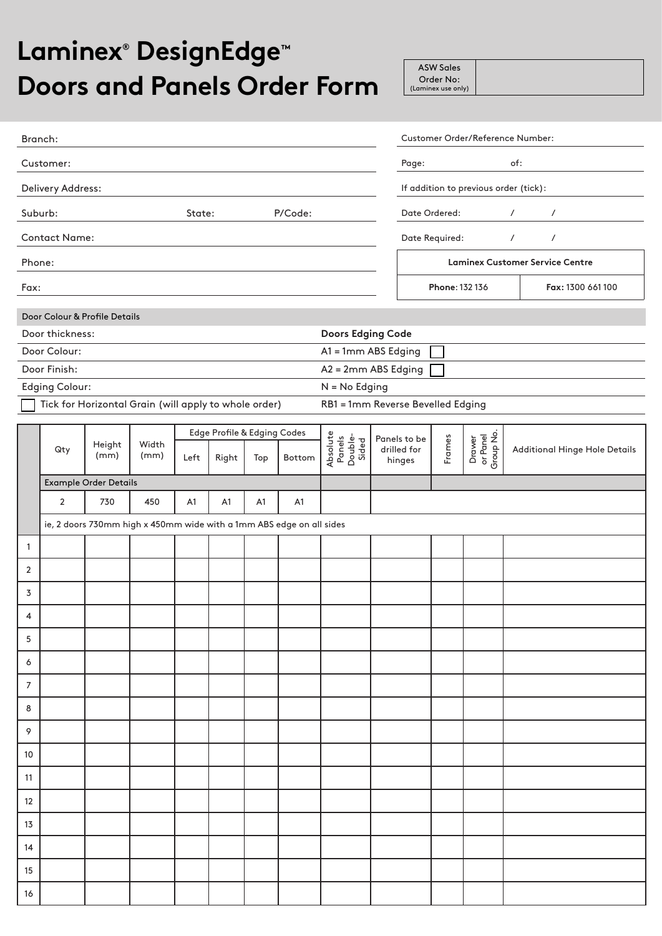## **Laminex® DesignEdge™ Doors and Panels Order Form**

| <b>ASW Sales</b>   |
|--------------------|
| Order No:          |
| (Laminex use only) |

| Branch:                       |                                                                      |                       |               |      |                                      |     |        |                                        |                                       |                                        |                |                                 | Customer Order/Reference Number:     |  |
|-------------------------------|----------------------------------------------------------------------|-----------------------|---------------|------|--------------------------------------|-----|--------|----------------------------------------|---------------------------------------|----------------------------------------|----------------|---------------------------------|--------------------------------------|--|
| Customer:                     |                                                                      |                       |               |      |                                      |     |        |                                        | of:<br>Page:                          |                                        |                |                                 |                                      |  |
| Delivery Address:             |                                                                      |                       |               |      |                                      |     |        |                                        | If addition to previous order (tick): |                                        |                |                                 |                                      |  |
| P/Code:<br>Suburb:<br>State:  |                                                                      |                       |               |      |                                      |     |        |                                        |                                       | Date Ordered:                          |                | $\prime$<br>$\prime$            |                                      |  |
| <b>Contact Name:</b>          |                                                                      |                       |               |      |                                      |     |        |                                        |                                       |                                        | Date Required: |                                 | $\sqrt{2}$<br>$\prime$               |  |
| Phone:                        |                                                                      |                       |               |      |                                      |     |        |                                        |                                       | <b>Laminex Customer Service Centre</b> |                |                                 |                                      |  |
| Fax:                          |                                                                      |                       |               |      |                                      |     |        |                                        |                                       | Phone: 132 136<br>Fax: 1300 661 100    |                |                                 |                                      |  |
| Door Colour & Profile Details |                                                                      |                       |               |      |                                      |     |        |                                        |                                       |                                        |                |                                 |                                      |  |
|                               | Door thickness:                                                      |                       |               |      |                                      |     |        | <b>Doors Edging Code</b>               |                                       |                                        |                |                                 |                                      |  |
|                               | Door Colour:                                                         |                       |               |      |                                      |     |        | A1 = 1mm ABS Edging                    |                                       |                                        |                |                                 |                                      |  |
|                               | Door Finish:                                                         |                       |               |      |                                      |     |        | A2 = 2mm ABS Edging                    |                                       |                                        |                |                                 |                                      |  |
|                               | <b>Edging Colour:</b>                                                |                       |               |      |                                      |     |        | $N = No$ Edging                        |                                       |                                        |                |                                 |                                      |  |
|                               | Tick for Horizontal Grain (will apply to whole order)                |                       |               |      |                                      |     |        | RB1 = 1mm Reverse Bevelled Edging      |                                       |                                        |                |                                 |                                      |  |
|                               |                                                                      |                       |               |      |                                      |     |        |                                        |                                       |                                        |                |                                 |                                      |  |
|                               | Qty                                                                  | Height<br>(mm)        | Width<br>(mm) | Left | Edge Profile & Edging Codes<br>Right | Top | Bottom | Absolute<br>Panels<br>Double-<br>Sided |                                       | Panels to be<br>drilled for            | Frames         | Drawer<br>or Panel<br>Group No. | <b>Additional Hinge Hole Details</b> |  |
|                               |                                                                      |                       |               |      |                                      |     |        |                                        |                                       | hinges                                 |                |                                 |                                      |  |
|                               |                                                                      | Example Order Details |               |      |                                      |     |        |                                        |                                       |                                        |                |                                 |                                      |  |
|                               | $\overline{2}$                                                       | 730                   | 450           | A1   | A1                                   | A1  | A1     |                                        |                                       |                                        |                |                                 |                                      |  |
|                               | ie, 2 doors 730mm high x 450mm wide with a 1mm ABS edge on all sides |                       |               |      |                                      |     |        |                                        |                                       |                                        |                |                                 |                                      |  |
| 1                             |                                                                      |                       |               |      |                                      |     |        |                                        |                                       |                                        |                |                                 |                                      |  |
| $\overline{2}$                |                                                                      |                       |               |      |                                      |     |        |                                        |                                       |                                        |                |                                 |                                      |  |
| 3                             |                                                                      |                       |               |      |                                      |     |        |                                        |                                       |                                        |                |                                 |                                      |  |
| 4                             |                                                                      |                       |               |      |                                      |     |        |                                        |                                       |                                        |                |                                 |                                      |  |
| 5                             |                                                                      |                       |               |      |                                      |     |        |                                        |                                       |                                        |                |                                 |                                      |  |
| 6                             |                                                                      |                       |               |      |                                      |     |        |                                        |                                       |                                        |                |                                 |                                      |  |
| $\overline{7}$                |                                                                      |                       |               |      |                                      |     |        |                                        |                                       |                                        |                |                                 |                                      |  |
| 8                             |                                                                      |                       |               |      |                                      |     |        |                                        |                                       |                                        |                |                                 |                                      |  |
| 9                             |                                                                      |                       |               |      |                                      |     |        |                                        |                                       |                                        |                |                                 |                                      |  |
| 10                            |                                                                      |                       |               |      |                                      |     |        |                                        |                                       |                                        |                |                                 |                                      |  |
| 11                            |                                                                      |                       |               |      |                                      |     |        |                                        |                                       |                                        |                |                                 |                                      |  |
| 12                            |                                                                      |                       |               |      |                                      |     |        |                                        |                                       |                                        |                |                                 |                                      |  |
| 13                            |                                                                      |                       |               |      |                                      |     |        |                                        |                                       |                                        |                |                                 |                                      |  |
| 14                            |                                                                      |                       |               |      |                                      |     |        |                                        |                                       |                                        |                |                                 |                                      |  |
| 15                            |                                                                      |                       |               |      |                                      |     |        |                                        |                                       |                                        |                |                                 |                                      |  |
| $16$                          |                                                                      |                       |               |      |                                      |     |        |                                        |                                       |                                        |                |                                 |                                      |  |